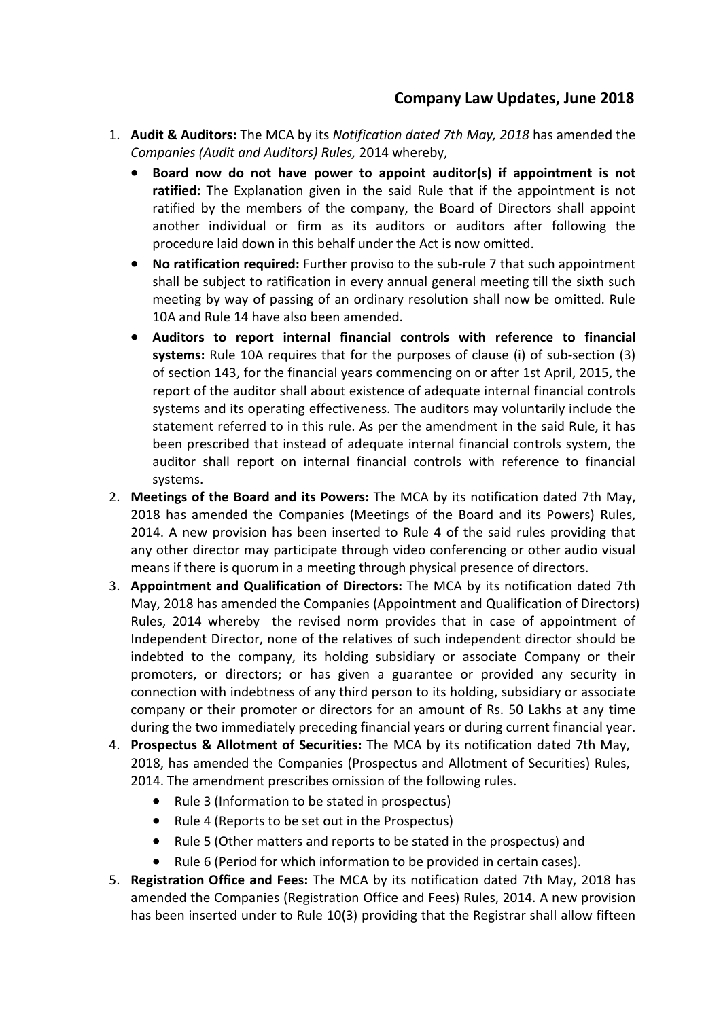## **Company Law Updates, June 2018**

- 1. **Audit & Auditors:** The MCA by its*Notification dated 7th May, 2018* has amended the *Companies* (Audit and Auditors) Rules, 2014 whereby,
	- **Board now do not have power to appoint auditor(s) if appointment is not ratified:** The Explanation given in the said Rule that if the appointment is not ratified by the members of the company, the Board of Directors shall appoint another individual or firm as its auditors or auditors after following the procedure laid down in this behalf under the Act is now omitted.
	- **No ratification required:** Further proviso to the sub-rule 7 that such appointment shall be subject to ratification in every annual general meeting till the sixth such meeting by way of passing of an ordinary resolution shall now be omitted. Rule 10A and Rule 14 have also been amended.
	- **Auditors to report internal financial controls with reference to financial systems:** Rule 10A requires that for the purposes of clause (i) of sub-section (3) of section 143, for the financial years commencing on or after 1st April, 2015, the report of the auditor shall about existence of adequate internal financial controls systems and its operating effectiveness. The auditors may voluntarily include the statement referred to in this rule. As per the amendment in the said Rule, it has been prescribed that instead of adequate internal financial controls system, the auditor shall report on internal financial controls with reference to financial systems.
- 2. **Meetings of the Board and its Powers:** The MCA by its notification dated 7th May, 2018 has amended the Companies (Meetings of the Board and its Powers) Rules, 2014. A new provision has been inserted to Rule 4 of the said rules providing that any other director may participate through video conferencing or other audio visual means if there is quorum in a meeting through physical presence of directors.
- 3. **Appointment and Qualification of Directors:** The MCA by its notification dated 7th May, 2018 has amended the Companies (Appointment and Qualification of Directors) Rules, 2014 whereby the revised norm provides that in case of appointment of Independent Director, none of the relatives of such independent director should be indebted to the company, its holding subsidiary or associate Company or their promoters, or directors; or has given a guarantee or provided any security in connection with indebtness of any third person to its holding, subsidiary or associate company or their promoter or directors for an amount of Rs. 50 Lakhs atany time during the two immediately preceding financial years or during current financial year.
- 4. **Prospectus & Allotment of Securities:** The MCA by its notification dated 7th May, 2018, has amended the Companies (Prospectus and Allotment of Securities) Rules, 2014. The amendment prescribes omission of the following rules.
	- Rule 3 (Information to be stated in prospectus)
	- Rule 4 (Reports to be set out in the Prospectus)
	- Rule 5 (Other matters and reports to be stated in the prospectus) and
	- Rule 6 (Period for which information to be provided in certain cases).
- 5. **Registration Office and Fees:**The MCA by its notification dated 7th May, 2018 has amended the Companies (Registration Office and Fees) Rules, 2014. A new provision has been inserted under to Rule 10(3) providing that the Registrar shall allow fifteen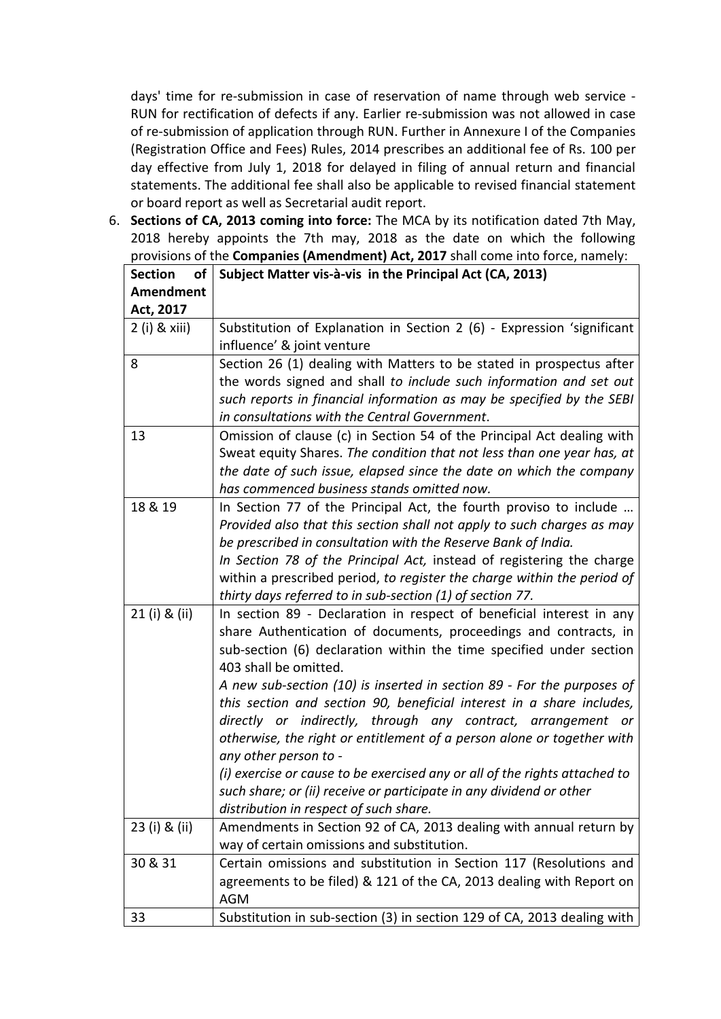days' time for re-submission in case of reservation of name through web service - RUN for rectification of defects if any. Earlier re-submission was not allowed in case of re-submission of application through RUN. Further in Annexure I of the Companies (Registration Office and Fees) Rules, 2014 prescribes an additional fee of Rs. 100 per day effective from July 1, 2018 for delayed in filing of annual return and financial statements. The additional fee shall also be applicable to revised financial statement or board report as well as Secretarial audit report.

6. **Sections of CA, 2013 coming into force:** The MCA by its notification dated 7th May, 2018 hereby appoints the 7th may, 2018 as the date on which the following provisions of the **Companies (Amendment) Act, 2017** shall come into force, namely:

| <b>Section</b><br>of | Subject Matter vis-à-vis in the Principal Act (CA, 2013)                   |
|----------------------|----------------------------------------------------------------------------|
| <b>Amendment</b>     |                                                                            |
| Act, 2017            |                                                                            |
| $2$ (i) & xiii)      | Substitution of Explanation in Section 2 (6) - Expression 'significant     |
|                      | influence' & joint venture                                                 |
| 8                    | Section 26 (1) dealing with Matters to be stated in prospectus after       |
|                      | the words signed and shall to include such information and set out         |
|                      | such reports in financial information as may be specified by the SEBI      |
|                      | in consultations with the Central Government.                              |
| 13                   | Omission of clause (c) in Section 54 of the Principal Act dealing with     |
|                      | Sweat equity Shares. The condition that not less than one year has, at     |
|                      | the date of such issue, elapsed since the date on which the company        |
|                      | has commenced business stands omitted now.                                 |
| 18 & 19              | In Section 77 of the Principal Act, the fourth proviso to include          |
|                      | Provided also that this section shall not apply to such charges as may     |
|                      | be prescribed in consultation with the Reserve Bank of India.              |
|                      | In Section 78 of the Principal Act, instead of registering the charge      |
|                      | within a prescribed period, to register the charge within the period of    |
|                      | thirty days referred to in sub-section (1) of section 77.                  |
| 21 (i) & (ii)        | In section 89 - Declaration in respect of beneficial interest in any       |
|                      | share Authentication of documents, proceedings and contracts, in           |
|                      | sub-section (6) declaration within the time specified under section        |
|                      | 403 shall be omitted.                                                      |
|                      | A new sub-section (10) is inserted in section 89 - For the purposes of     |
|                      | this section and section 90, beneficial interest in a share includes,      |
|                      | directly or indirectly, through any contract, arrangement or               |
|                      | otherwise, the right or entitlement of a person alone or together with     |
|                      | any other person to -                                                      |
|                      | (i) exercise or cause to be exercised any or all of the rights attached to |
|                      | such share; or (ii) receive or participate in any dividend or other        |
|                      | distribution in respect of such share.                                     |
| 23 (i) & (ii)        | Amendments in Section 92 of CA, 2013 dealing with annual return by         |
|                      | way of certain omissions and substitution.                                 |
| 30 & 31              | Certain omissions and substitution in Section 117 (Resolutions and         |
|                      | agreements to be filed) & 121 of the CA, 2013 dealing with Report on       |
|                      | <b>AGM</b>                                                                 |
| 33                   | Substitution in sub-section (3) in section 129 of CA, 2013 dealing with    |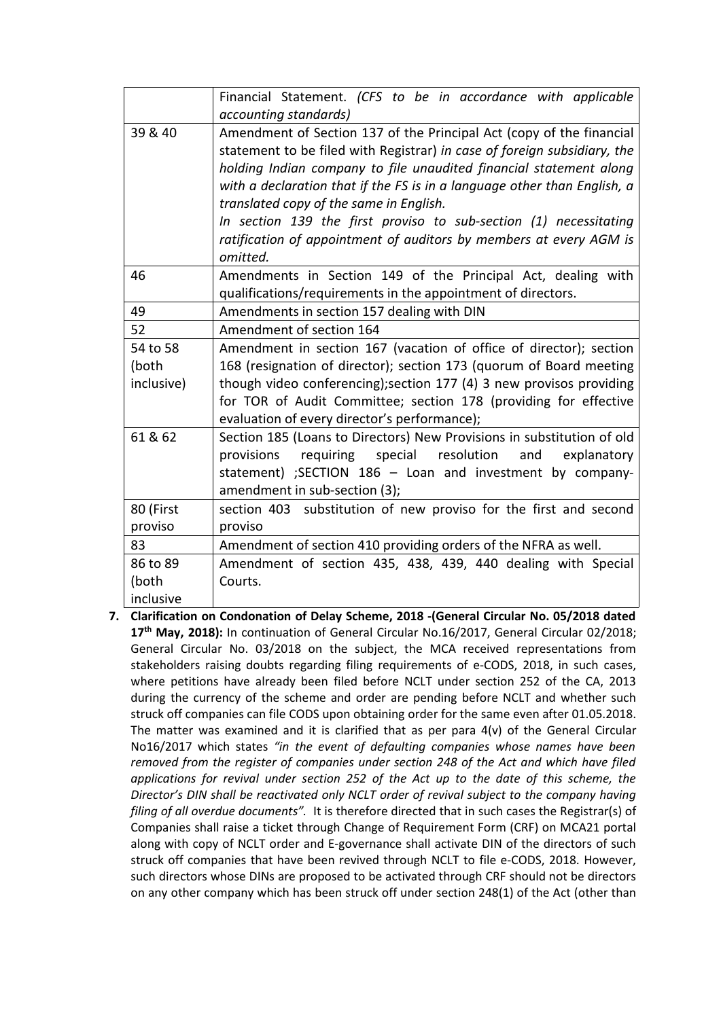|            | Financial Statement. (CFS to be in accordance with applicable            |
|------------|--------------------------------------------------------------------------|
|            | accounting standards)                                                    |
| 39 & 40    | Amendment of Section 137 of the Principal Act (copy of the financial     |
|            | statement to be filed with Registrar) in case of foreign subsidiary, the |
|            | holding Indian company to file unaudited financial statement along       |
|            | with a declaration that if the FS is in a language other than English, a |
|            | translated copy of the same in English.                                  |
|            | In section 139 the first proviso to sub-section (1) necessitating        |
|            | ratification of appointment of auditors by members at every AGM is       |
|            | omitted.                                                                 |
| 46         | Amendments in Section 149 of the Principal Act, dealing with             |
|            | qualifications/requirements in the appointment of directors.             |
| 49         | Amendments in section 157 dealing with DIN                               |
| 52         | Amendment of section 164                                                 |
| 54 to 58   | Amendment in section 167 (vacation of office of director); section       |
| (both      | 168 (resignation of director); section 173 (quorum of Board meeting      |
| inclusive) | though video conferencing); section 177 (4) 3 new provisos providing     |
|            | for TOR of Audit Committee; section 178 (providing for effective         |
|            | evaluation of every director's performance);                             |
| 61 & 62    | Section 185 (Loans to Directors) New Provisions in substitution of old   |
|            | resolution<br>provisions<br>requiring<br>special<br>explanatory<br>and   |
|            | statement) ;SECTION 186 - Loan and investment by company-                |
|            | amendment in sub-section (3);                                            |
| 80 (First  | section 403 substitution of new proviso for the first and second         |
| proviso    | proviso                                                                  |
| 83         | Amendment of section 410 providing orders of the NFRA as well.           |
| 86 to 89   | Amendment of section 435, 438, 439, 440 dealing with Special             |
| (both      | Courts.                                                                  |
| inclusive  |                                                                          |
|            |                                                                          |

**7. Clarification on Condonation of Delay Scheme, 2018 -(General Circular No. 05/2018 dated 17 th May, 2018):** In continuation of General Circular No.16/2017, General Circular 02/2018; General Circular No. 03/2018 on the subject, the MCA received representations from stakeholders raising doubts regarding filing requirements of e-CODS, 2018, in such cases, where petitions have already been filed before NCLT under section 252 of the CA, 2013 during the currency of the scheme and order are pending before NCLT and whether such struck off companies can file CODS upon obtaining order for the same even after 01.05.2018. The matter was examined and it is clarified that as per para  $4(v)$  of the General Circular No16/2017 which states *"in the eventof defaulting companies whose names have been removed from the register of companies under section 248 of the Act and which have filed applications for revival under section 252 of the Act up to the date of this scheme, the Director's DIN shall be reactivated only NCLT order of revival subject to the company having filing of all overdue documents".* It is therefore directed that in such cases the Registrar(s) of Companies shall raise a ticket through Change of Requirement Form (CRF) on MCA21 portal along with copy of NCLT order and E-governance shall activate DIN of the directors of such struck off companies that have been revived through NCLT to file e-CODS, 2018. However, such directors whose DINs are proposed to be activated through CRF should not be directors on any other company which has been struck off under section 248(1) of the Act (other than